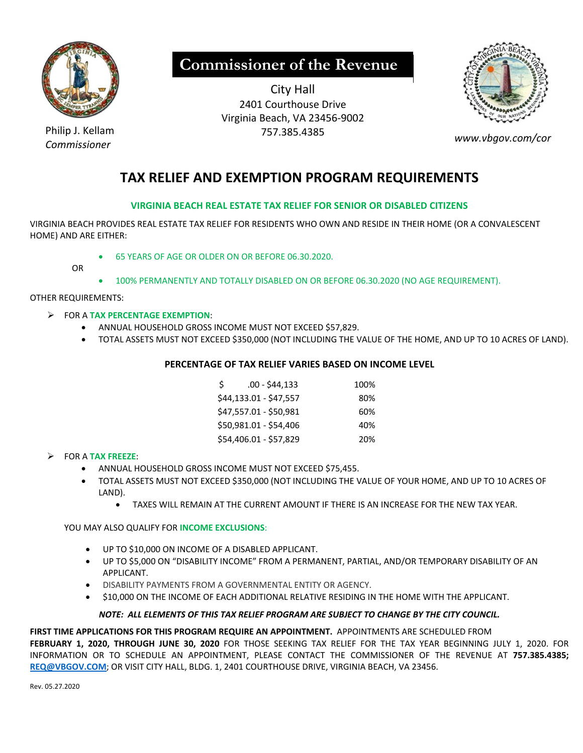

# **Commissioner of the Revenue**

City Hall 2401 Courthouse Drive Virginia Beach, VA 23456‐9002 Philip J. Kellam 757.385.4385



*Commissioner www.vbgov.com/cor* 

## **TAX RELIEF AND EXEMPTION PROGRAM REQUIREMENTS**

### **VIRGINIA BEACH REAL ESTATE TAX RELIEF FOR SENIOR OR DISABLED CITIZENS**

VIRGINIA BEACH PROVIDES REAL ESTATE TAX RELIEF FOR RESIDENTS WHO OWN AND RESIDE IN THEIR HOME (OR A CONVALESCENT HOME) AND ARE EITHER:

65 YEARS OF AGE OR OLDER ON OR BEFORE 06.30.2020.

OR

100% PERMANENTLY AND TOTALLY DISABLED ON OR BEFORE 06.30.2020 (NO AGE REQUIREMENT).

OTHER REQUIREMENTS:

#### FOR A **TAX PERCENTAGE EXEMPTION**:

- ANNUAL HOUSEHOLD GROSS INCOME MUST NOT EXCEED \$57,829.
- TOTAL ASSETS MUST NOT EXCEED \$350,000 (NOT INCLUDING THE VALUE OF THE HOME, AND UP TO 10 ACRES OF LAND).

### **PERCENTAGE OF TAX RELIEF VARIES BASED ON INCOME LEVEL**

| .00 - \$44,133         | 100% |
|------------------------|------|
| \$44,133.01 - \$47,557 | 80%  |
| \$47,557.01 - \$50,981 | 60%  |
| \$50,981.01 - \$54,406 | 40%  |
| \$54,406.01 - \$57,829 | 20%  |
|                        |      |

### FOR A **TAX FREEZE**:

- ANNUAL HOUSEHOLD GROSS INCOME MUST NOT EXCEED \$75,455.
- TOTAL ASSETS MUST NOT EXCEED \$350,000 (NOT INCLUDING THE VALUE OF YOUR HOME, AND UP TO 10 ACRES OF LAND).
	- TAXES WILL REMAIN AT THE CURRENT AMOUNT IF THERE IS AN INCREASE FOR THE NEW TAX YEAR.

### YOU MAY ALSO QUALIFY FOR **INCOME EXCLUSIONS**:

- UP TO \$10,000 ON INCOME OF A DISABLED APPLICANT.
- UP TO \$5,000 ON "DISABILITY INCOME" FROM A PERMANENT, PARTIAL, AND/OR TEMPORARY DISABILITY OF AN APPLICANT.
- $\bullet$  DISABILITY PAYMENTS FROM A GOVERNMENTAL ENTITY OR AGENCY.
- \$10,000 ON THE INCOME OF EACH ADDITIONAL RELATIVE RESIDING IN THE HOME WITH THE APPLICANT.

### *NOTE: ALL ELEMENTS OF THIS TAX RELIEF PROGRAM ARE SUBJECT TO CHANGE BY THE CITY COUNCIL.*

### FIRST TIME APPLICATIONS FOR THIS PROGRAM REQUIRE AN APPOINTMENT. APPOINTMENTS ARE SCHEDULED FROM

**FEBRUARY 1, 2020, THROUGH JUNE 30, 2020**  FOR THOSE SEEKING TAX RELIEF FOR THE TAX YEAR BEGINNING JULY 1, 2020. FOR INFORMATION OR TO SCHEDULE AN APPOINTMENT, PLEASE CONTACT THE COMMISSIONER OF THE REVENUE AT **757.385.4385; REQ@VBGOV.COM**; OR VISIT CITY HALL, BLDG. 1, 2401 COURTHOUSE DRIVE, VIRGINIA BEACH, VA 23456.